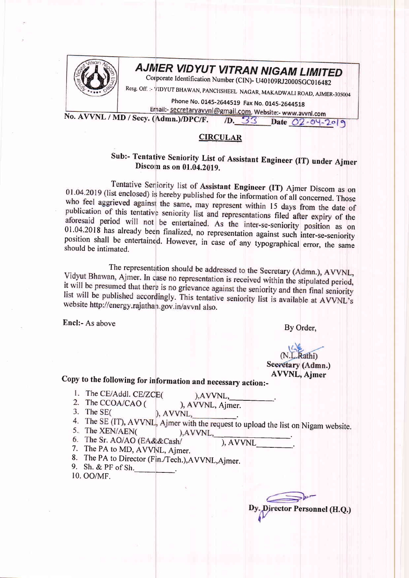

## AJMER VIDYUT VITRAN NIGAM LIMITED

Corporate Identification Number (CIN)- U40109RJ2000SGC016482

Resg. Off. :- VIDYUT BHAWAN, PANCHSHEEL NAGAR, MAKADWALI ROAD, AJMER-305004

phone No. 0145-2644519 Fax No. 0145-2644518<br>Ernail:- secretaryavvnl@gmail.com, Website:- www.avvnl.com No. AVVNL / MD / Secy. (Admn.)/DPC/F.

D. 33 Date 02-04-2019

## **CIRCULAR**

## Sub:- Tentative Seniority List of Assistant Engineer (IT) under Ajmer<br>Discom as on 01.04.2019.

Tentative Seniority list of Assistant Engineer (IT) Ajmer Discom as on 01.04.2019 (list enclosed) is hereby published for the information of all concerned. Those who feel aggrieved against the same, may represent within 15 days from the date of publication of this tentative seniority list and representations filed after expiry of the aforesaid period will not be entertained. As the inter-se-seniority position as on 01.04.2018 has already been finalized, no representation against such inter-se-seniority position shall be entertained. However, in case of

The representation should be addressed to the Secretary (Admn.), AVVNL,<br>Vidyut Bhawan, Ajmer. In case no representation is received within the stipulated period, it will be presumed that there is no grievance against the seniority and then final seniority<br>list will be published associated with This contract the seniority and then final seniority list will be published accordingly. This tentative seniority list is available at AVVNL's website http://energy.rajathan.gov.in/avvnl also.

Encl:- As above By Order,

## (N.L.Rathi)<br>Secretary (Admn.) AVVNL, Ajmer

copy to the foilowing for information and necessary action:-

- 1. The CE/Addl. CE/ZCE(
	- ), AVVNL,
- 2. The CCOA/CAO ( ), AVVNL, Ajmer.
- 3. The SE $\epsilon$ ), AVVNL.
- 4. The SE (IT), AVVNL, Ajmer with the request to upload the list on Nigam website. ), AVVNL,
- 5. The XEN/AEN(
- 6. The Sr. AO/AO (EA&&Cash/ ), AVVNL\_\_\_\_\_\_\_\_\_.<br>7. The PA to MD, AVVNL, Ajmer.
- 
- 8. The PA to Director (Fin./Tech.), AVVNL, Ajmer.
- 9. Sh. & PF of Sh. 10. oo/MF.

Director Personnel (H.Q.)